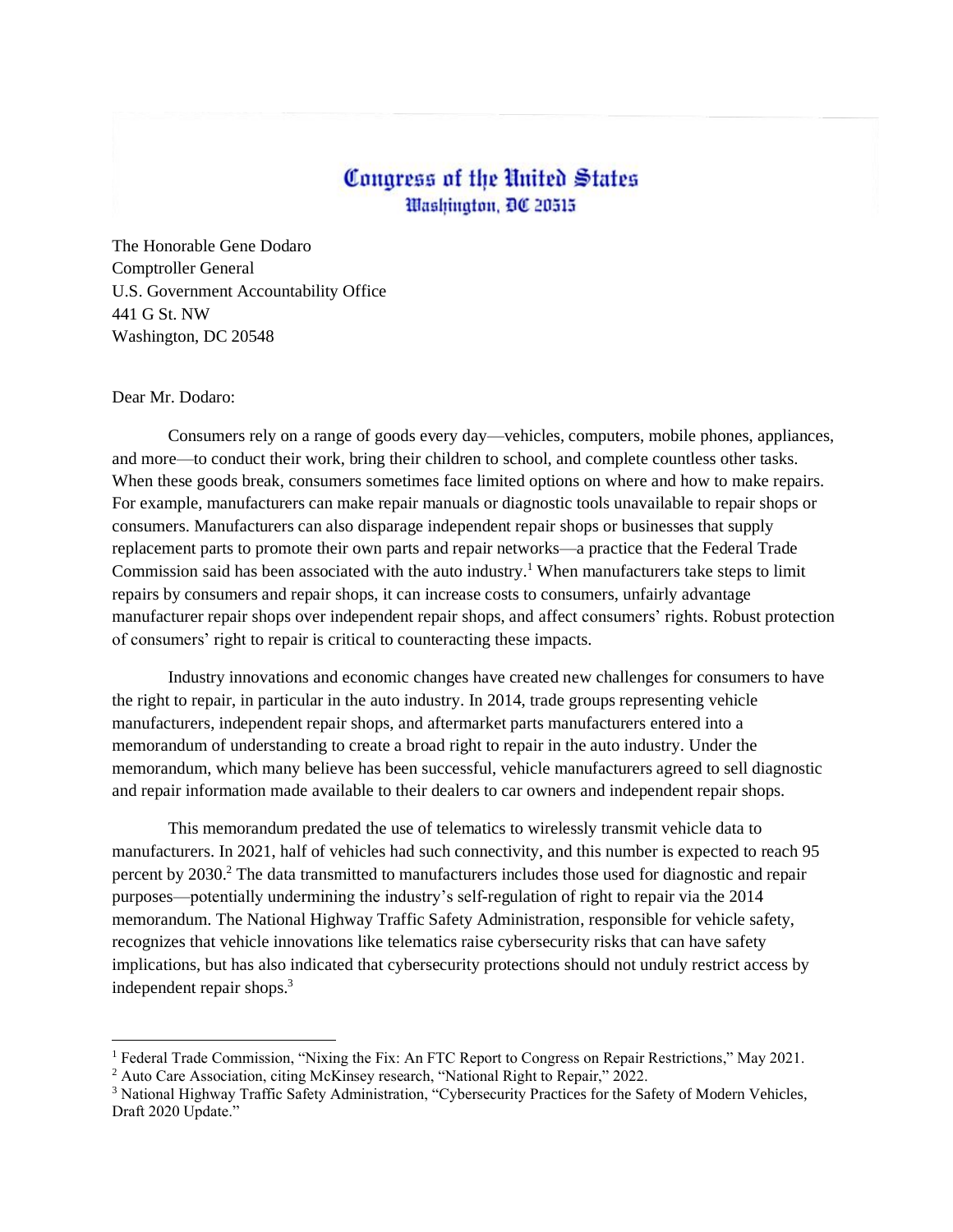## Congress of the United States Washington, DC 20515

The Honorable Gene Dodaro Comptroller General U.S. Government Accountability Office 441 G St. NW Washington, DC 20548

## Dear Mr. Dodaro:

Consumers rely on a range of goods every day—vehicles, computers, mobile phones, appliances, and more—to conduct their work, bring their children to school, and complete countless other tasks. When these goods break, consumers sometimes face limited options on where and how to make repairs. For example, manufacturers can make repair manuals or diagnostic tools unavailable to repair shops or consumers. Manufacturers can also disparage independent repair shops or businesses that supply replacement parts to promote their own parts and repair networks—a practice that the Federal Trade Commission said has been associated with the auto industry. <sup>1</sup> When manufacturers take steps to limit repairs by consumers and repair shops, it can increase costs to consumers, unfairly advantage manufacturer repair shops over independent repair shops, and affect consumers' rights. Robust protection of consumers' right to repair is critical to counteracting these impacts.

Industry innovations and economic changes have created new challenges for consumers to have the right to repair, in particular in the auto industry. In 2014, trade groups representing vehicle manufacturers, independent repair shops, and aftermarket parts manufacturers entered into a memorandum of understanding to create a broad right to repair in the auto industry. Under the memorandum, which many believe has been successful, vehicle manufacturers agreed to sell diagnostic and repair information made available to their dealers to car owners and independent repair shops.

This memorandum predated the use of telematics to wirelessly transmit vehicle data to manufacturers. In 2021, half of vehicles had such connectivity, and this number is expected to reach 95 percent by 2030.<sup>2</sup> The data transmitted to manufacturers includes those used for diagnostic and repair purposes—potentially undermining the industry's self-regulation of right to repair via the 2014 memorandum. The National Highway Traffic Safety Administration, responsible for vehicle safety, recognizes that vehicle innovations like telematics raise cybersecurity risks that can have safety implications, but has also indicated that cybersecurity protections should not unduly restrict access by independent repair shops. 3

<sup>&</sup>lt;sup>1</sup> Federal Trade Commission, "Nixing the Fix: An FTC Report to Congress on Repair Restrictions," May 2021.

<sup>&</sup>lt;sup>2</sup> Auto Care Association, citing McKinsey research, "National Right to Repair," 2022.

<sup>&</sup>lt;sup>3</sup> National Highway Traffic Safety Administration, "Cybersecurity Practices for the Safety of Modern Vehicles, Draft 2020 Update."